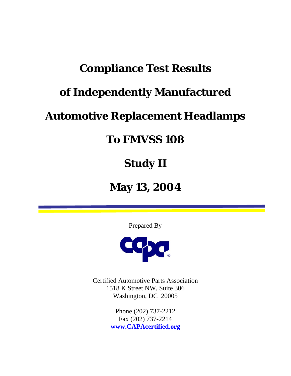# **Compliance Test Results**

# **of Independently Manufactured**

## **Automotive Replacement Headlamps**

## **To FMVSS 108**

# **Study II**

## **May 13, 2004**

Prepared By



Certified Automotive Parts Association 1518 K Street NW, Suite 306 Washington, DC 20005

> Phone (202) 737-2212 Fax (202) 737-2214 **www.CAPAcertified.org**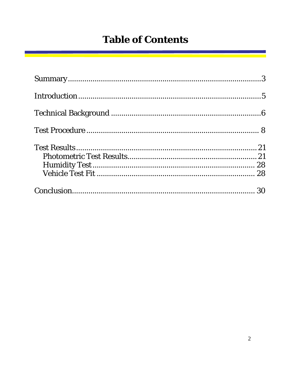## **Table of Contents**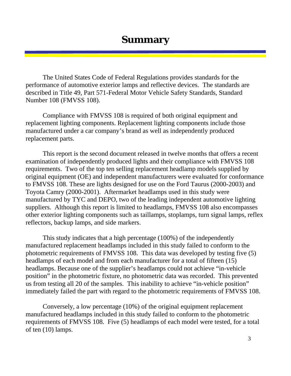#### **Summary**

The United States Code of Federal Regulations provides standards for the performance of automotive exterior lamps and reflective devices. The standards are described in Title 49, Part 571-Federal Motor Vehicle Safety Standards, Standard Number 108 (FMVSS 108).

Compliance with FMVSS 108 is required of both original equipment and replacement lighting components. Replacement lighting components include those manufactured under a car company's brand as well as independently produced replacement parts.

This report is the second document released in twelve months that offers a recent examination of independently produced lights and their compliance with FMVSS 108 requirements. Two of the top ten selling replacement headlamp models supplied by original equipment (OE) and independent manufacturers were evaluated for conformance to FMVSS 108. These are lights designed for use on the Ford Taurus (2000-2003) and Toyota Camry (2000-2001). Aftermarket headlamps used in this study were manufactured by TYC and DEPO, two of the leading independent automotive lighting suppliers. Although this report is limited to headlamps, FMVSS 108 also encompasses other exterior lighting components such as taillamps, stoplamps, turn signal lamps, reflex reflectors, backup lamps, and side markers.

This study indicates that a high percentage (100%) of the independently manufactured replacement headlamps included in this study failed to conform to the photometric requirements of FMVSS 108. This data was developed by testing five (5) headlamps of each model and from each manufacturer for a total of fifteen (15) headlamps. Because one of the supplier's headlamps could not achieve "in-vehicle position" in the photometric fixture, no photometric data was recorded. This prevented us from testing all 20 of the samples. This inability to achieve "in-vehicle position" immediately failed the part with regard to the photometric requirements of FMVSS 108.

Conversely, a low percentage (10%) of the original equipment replacement manufactured headlamps included in this study failed to conform to the photometric requirements of FMVSS 108. Five (5) headlamps of each model were tested, for a total of ten (10) lamps.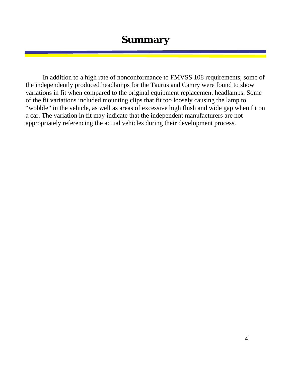#### **Summary**

In addition to a high rate of nonconformance to FMVSS 108 requirements, some of the independently produced headlamps for the Taurus and Camry were found to show variations in fit when compared to the original equipment replacement headlamps. Some of the fit variations included mounting clips that fit too loosely causing the lamp to "wobble" in the vehicle, as well as areas of excessive high flush and wide gap when fit on a car. The variation in fit may indicate that the independent manufacturers are not appropriately referencing the actual vehicles during their development process.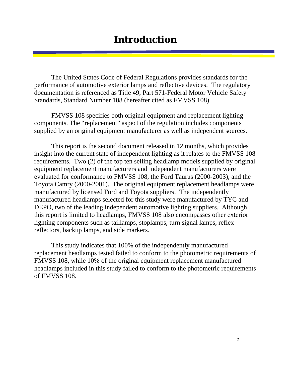#### **Introduction**

The United States Code of Federal Regulations provides standards for the performance of automotive exterior lamps and reflective devices. The regulatory documentation is referenced as Title 49, Part 571-Federal Motor Vehicle Safety Standards, Standard Number 108 (hereafter cited as FMVSS 108).

FMVSS 108 specifies both original equipment and replacement lighting components. The "replacement" aspect of the regulation includes components supplied by an original equipment manufacturer as well as independent sources.

This report is the second document released in 12 months, which provides insight into the current state of independent lighting as it relates to the FMVSS 108 requirements. Two (2) of the top ten selling headlamp models supplied by original equipment replacement manufacturers and independent manufacturers were evaluated for conformance to FMVSS 108, the Ford Taurus (2000-2003), and the Toyota Camry (2000-2001). The original equipment replacement headlamps were manufactured by licensed Ford and Toyota suppliers. The independently manufactured headlamps selected for this study were manufactured by TYC and DEPO, two of the leading independent automotive lighting suppliers. Although this report is limited to headlamps, FMVSS 108 also encompasses other exterior lighting components such as taillamps, stoplamps, turn signal lamps, reflex reflectors, backup lamps, and side markers.

This study indicates that 100% of the independently manufactured replacement headlamps tested failed to conform to the photometric requirements of FMVSS 108, while 10% of the original equipment replacement manufactured headlamps included in this study failed to conform to the photometric requirements of FMVSS 108.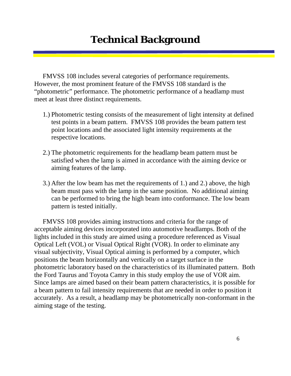### **Technical Background**

FMVSS 108 includes several categories of performance requirements. However, the most prominent feature of the FMVSS 108 standard is the "photometric" performance. The photometric performance of a headlamp must meet at least three distinct requirements.

- 1.) Photometric testing consists of the measurement of light intensity at defined test points in a beam pattern. FMVSS 108 provides the beam pattern test point locations and the associated light intensity requirements at the respective locations.
- 2.) The photometric requirements for the headlamp beam pattern must be satisfied when the lamp is aimed in accordance with the aiming device or aiming features of the lamp.
- 3.) After the low beam has met the requirements of 1.) and 2.) above, the high beam must pass with the lamp in the same position. No additional aiming can be performed to bring the high beam into conformance. The low beam pattern is tested initially.

FMVSS 108 provides aiming instructions and criteria for the range of acceptable aiming devices incorporated into automotive headlamps. Both of the lights included in this study are aimed using a procedure referenced as Visual Optical Left (VOL) or Visual Optical Right (VOR). In order to eliminate any visual subjectivity, Visual Optical aiming is performed by a computer, which positions the beam horizontally and vertically on a target surface in the photometric laboratory based on the characteristics of its illuminated pattern. Both the Ford Taurus and Toyota Camry in this study employ the use of VOR aim. Since lamps are aimed based on their beam pattern characteristics, it is possible for a beam pattern to fail intensity requirements that are needed in order to position it accurately. As a result, a headlamp may be photometrically non-conformant in the aiming stage of the testing.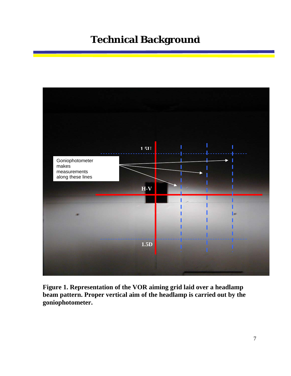## **Technical Background 2.0R 3.0R**



**Figure 1. Representation of the VOR aiming grid laid over a headlamp beam pattern. Proper vertical aim of the headlamp is carried out by the goniophotometer.**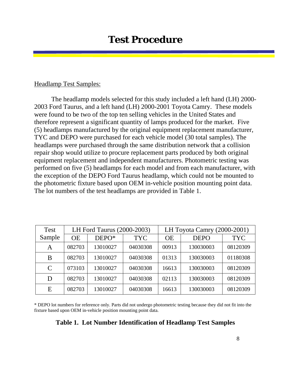#### Headlamp Test Samples:

The headlamp models selected for this study included a left hand (LH) 2000- 2003 Ford Taurus, and a left hand (LH) 2000-2001 Toyota Camry. These models were found to be two of the top ten selling vehicles in the United States and therefore represent a significant quantity of lamps produced for the market. Five (5) headlamps manufactured by the original equipment replacement manufacturer, TYC and DEPO were purchased for each vehicle model (30 total samples). The headlamps were purchased through the same distribution network that a collision repair shop would utilize to procure replacement parts produced by both original equipment replacement and independent manufacturers. Photometric testing was performed on five (5) headlamps for each model and from each manufacturer, with the exception of the DEPO Ford Taurus headlamp, which could not be mounted to the photometric fixture based upon OEM in-vehicle position mounting point data. The lot numbers of the test headlamps are provided in Table 1.

| <b>Test</b>   | LH Ford Taurus (2000-2003) |          |            | LH Toyota Camry (2000-2001) |             |            |
|---------------|----------------------------|----------|------------|-----------------------------|-------------|------------|
| Sample        | <b>OE</b>                  | DEPO*    | <b>TYC</b> | <b>OE</b>                   | <b>DEPO</b> | <b>TYC</b> |
| A             | 082703                     | 13010027 | 04030308   | 00913                       | 130030003   | 08120309   |
| B             | 082703                     | 13010027 | 04030308   | 01313                       | 130030003   | 01180308   |
| $\mathcal{C}$ | 073103                     | 13010027 | 04030308   | 16613                       | 130030003   | 08120309   |
| D             | 082703                     | 13010027 | 04030308   | 02113                       | 130030003   | 08120309   |
| E             | 082703                     | 13010027 | 04030308   | 16613                       | 130030003   | 08120309   |

\* DEPO lot numbers for reference only. Parts did not undergo photometric testing because they did not fit into the fixture based upon OEM in-vehicle position mounting point data.

#### **Table 1. Lot Number Identification of Headlamp Test Samples**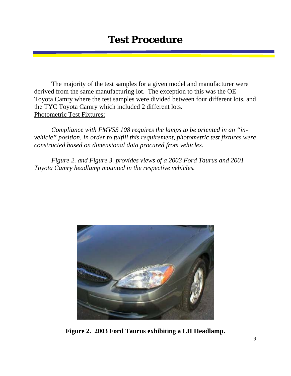The majority of the test samples for a given model and manufacturer were derived from the same manufacturing lot. The exception to this was the OE Toyota Camry where the test samples were divided between four different lots, and the TYC Toyota Camry which included 2 different lots. Photometric Test Fixtures:

*Compliance with FMVSS 108 requires the lamps to be oriented in an "invehicle" position. In order to fulfill this requirement, photometric test fixtures were constructed based on dimensional data procured from vehicles.* 

*Figure 2. and Figure 3. provides views of a 2003 Ford Taurus and 2001 Toyota Camry headlamp mounted in the respective vehicles.* 



**Figure 2. 2003 Ford Taurus exhibiting a LH Headlamp.**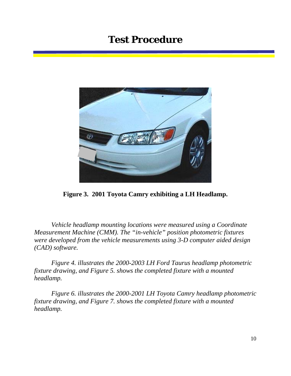

**Figure 3. 2001 Toyota Camry exhibiting a LH Headlamp.** 

*Vehicle headlamp mounting locations were measured using a Coordinate Measurement Machine (CMM). The "in-vehicle" position photometric fixtures were developed from the vehicle measurements using 3-D computer aided design (CAD) software.* 

*Figure 4. illustrates the 2000-2003 LH Ford Taurus headlamp photometric fixture drawing, and Figure 5. shows the completed fixture with a mounted headlamp.* 

*Figure 6. illustrates the 2000-2001 LH Toyota Camry headlamp photometric fixture drawing, and Figure 7. shows the completed fixture with a mounted headlamp.*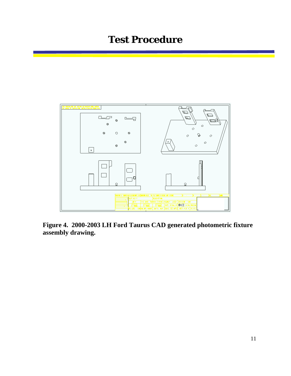

**Figure 4. 2000-2003 LH Ford Taurus CAD generated photometric fixture assembly drawing.**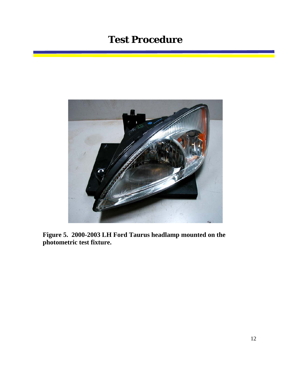

**Figure 5. 2000-2003 LH Ford Taurus headlamp mounted on the photometric test fixture.**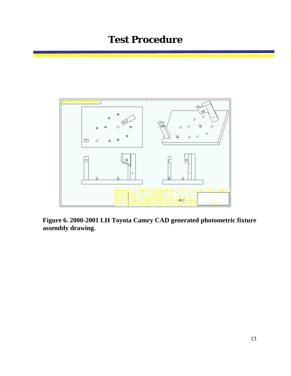

**Figure 6. 2000-2001 LH Toyota Camry CAD generated photometric fixture assembly drawing.**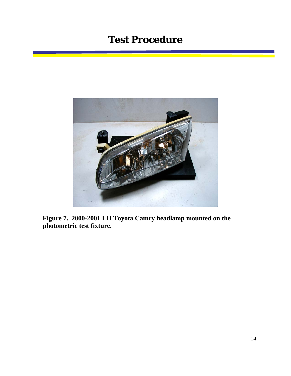

**Figure 7. 2000-2001 LH Toyota Camry headlamp mounted on the photometric test fixture.**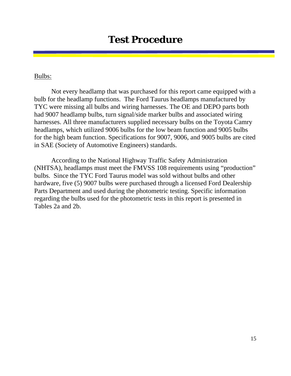#### Bulbs:

Not every headlamp that was purchased for this report came equipped with a bulb for the headlamp functions. The Ford Taurus headlamps manufactured by TYC were missing all bulbs and wiring harnesses. The OE and DEPO parts both had 9007 headlamp bulbs, turn signal/side marker bulbs and associated wiring harnesses. All three manufacturers supplied necessary bulbs on the Toyota Camry headlamps, which utilized 9006 bulbs for the low beam function and 9005 bulbs for the high beam function. Specifications for 9007, 9006, and 9005 bulbs are cited in SAE (Society of Automotive Engineers) standards.

According to the National Highway Traffic Safety Administration (NHTSA), headlamps must meet the FMVSS 108 requirements using "production" bulbs. Since the TYC Ford Taurus model was sold without bulbs and other hardware, five (5) 9007 bulbs were purchased through a licensed Ford Dealership Parts Department and used during the photometric testing. Specific information regarding the bulbs used for the photometric tests in this report is presented in Tables 2a and 2b.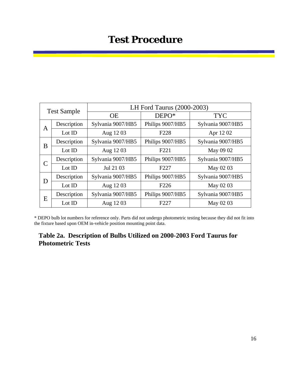| <b>Test Sample</b> |             | LH Ford Taurus (2000-2003) |                  |                   |  |  |  |
|--------------------|-------------|----------------------------|------------------|-------------------|--|--|--|
|                    |             | <b>OE</b>                  | DEPO*            | <b>TYC</b>        |  |  |  |
| A                  | Description | Sylvania 9007/HB5          | Philips 9007/HB5 | Sylvania 9007/HB5 |  |  |  |
|                    | Lot ID      | Aug 1203                   | F <sub>228</sub> | Apr 1202          |  |  |  |
| B                  | Description | Sylvania 9007/HB5          | Philips 9007/HB5 | Sylvania 9007/HB5 |  |  |  |
|                    | Lot ID      | Aug 1203                   | F <sub>221</sub> | May 09 02         |  |  |  |
| C                  | Description | Sylvania 9007/HB5          | Philips 9007/HB5 | Sylvania 9007/HB5 |  |  |  |
|                    | Lot ID      | Jul 21 03                  | F <sub>227</sub> | May 02 03         |  |  |  |
| D                  | Description | Sylvania 9007/HB5          | Philips 9007/HB5 | Sylvania 9007/HB5 |  |  |  |
|                    | Lot ID      | Aug 1203                   | F <sub>226</sub> | May 02 03         |  |  |  |
| E                  | Description | Sylvania 9007/HB5          | Philips 9007/HB5 | Sylvania 9007/HB5 |  |  |  |
|                    | Lot ID      | Aug 1203                   | F <sub>227</sub> | May 02 03         |  |  |  |

\* DEPO bulb lot numbers for reference only. Parts did not undergo photometric testing because they did not fit into the fixture based upon OEM in-vehicle position mounting point data.

#### **Table 2a. Description of Bulbs Utilized on 2000-2003 Ford Taurus for Photometric Tests**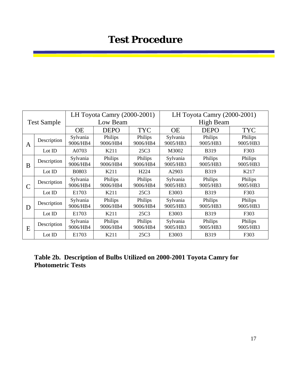| <b>Test Sample</b> |             | LH Toyota Camry (2000-2001) |                     |                     | LH Toyota Camry (2000-2001) |                     |                     |
|--------------------|-------------|-----------------------------|---------------------|---------------------|-----------------------------|---------------------|---------------------|
|                    |             | Low Beam                    |                     |                     | <b>High Beam</b>            |                     |                     |
|                    |             | <b>OE</b>                   | <b>DEPO</b>         | <b>TYC</b>          | <b>OE</b>                   | <b>DEPO</b>         | <b>TYC</b>          |
| A                  | Description | Sylvania<br>9006/HB4        | Philips<br>9006/HB4 | Philips<br>9006/HB4 | Sylvania<br>9005/HB3        | Philips<br>9005/HB3 | Philips<br>9005/HB3 |
|                    | Lot ID      | A0703                       | K211                | 25C3                | M3002                       | <b>B319</b>         | F303                |
| B                  | Description | Sylvania<br>9006/HB4        | Philips<br>9006/HB4 | Philips<br>9006/HB4 | Sylvania<br>9005/HB3        | Philips<br>9005/HB3 | Philips<br>9005/HB3 |
|                    | Lot ID      | <b>B0803</b>                | K211                | H <sub>224</sub>    | A2903                       | <b>B319</b>         | K217                |
|                    | Description | Sylvania<br>9006/HB4        | Philips<br>9006/HB4 | Philips<br>9006/HB4 | Sylvania<br>9005/HB3        | Philips<br>9005/HB3 | Philips<br>9005/HB3 |
|                    | Lot ID      | E1703                       | K211                | 25C3                | E3003                       | <b>B319</b>         | F303                |
| D                  | Description | Sylvania<br>9006/HB4        | Philips<br>9006/HB4 | Philips<br>9006/HB4 | Sylvania<br>9005/HB3        | Philips<br>9005/HB3 | Philips<br>9005/HB3 |
|                    | Lot ID      | E1703                       | K211                | 25C3                | E3003                       | <b>B319</b>         | F303                |
| E                  | Description | Sylvania<br>9006/HB4        | Philips<br>9006/HB4 | Philips<br>9006/HB4 | Sylvania<br>9005/HB3        | Philips<br>9005/HB3 | Philips<br>9005/HB3 |
|                    | Lot ID      | E1703                       | K211                | 25C3                | E3003                       | <b>B319</b>         | F303                |

**Table 2b. Description of Bulbs Utilized on 2000-2001 Toyota Camry for Photometric Tests**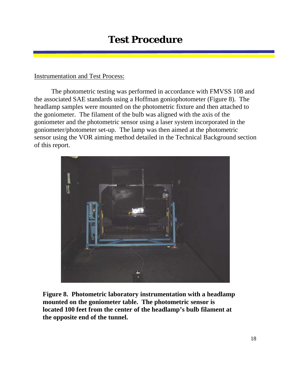#### Instrumentation and Test Process:

The photometric testing was performed in accordance with FMVSS 108 and the associated SAE standards using a Hoffman goniophotometer (Figure 8). The headlamp samples were mounted on the photometric fixture and then attached to the goniometer. The filament of the bulb was aligned with the axis of the goniometer and the photometric sensor using a laser system incorporated in the goniometer/photometer set-up. The lamp was then aimed at the photometric sensor using the VOR aiming method detailed in the Technical Background section of this report.



**Figure 8. Photometric laboratory instrumentation with a headlamp mounted on the goniometer table. The photometric sensor is located 100 feet from the center of the headlamp's bulb filament at the opposite end of the tunnel.**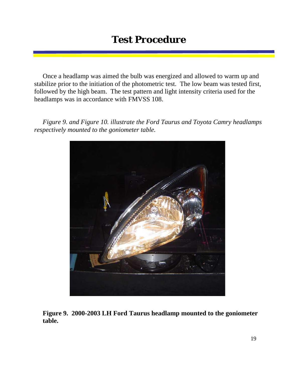Once a headlamp was aimed the bulb was energized and allowed to warm up and stabilize prior to the initiation of the photometric test. The low beam was tested first, followed by the high beam. The test pattern and light intensity criteria used for the headlamps was in accordance with FMVSS 108.

*Figure 9. and Figure 10. illustrate the Ford Taurus and Toyota Camry headlamps respectively mounted to the goniometer table.* 



**Figure 9. 2000-2003 LH Ford Taurus headlamp mounted to the goniometer table.**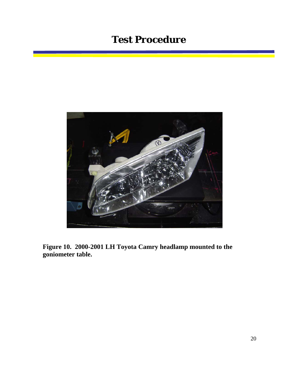

**Figure 10. 2000-2001 LH Toyota Camry headlamp mounted to the goniometer table.**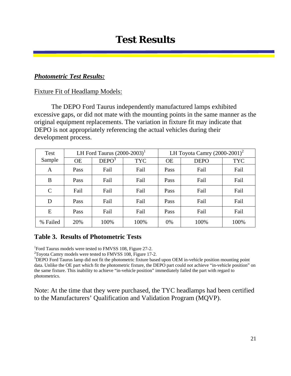#### *Photometric Test Results:*

#### Fixture Fit of Headlamp Models:

The DEPO Ford Taurus independently manufactured lamps exhibited excessive gaps, or did not mate with the mounting points in the same manner as the original equipment replacements. The variation in fixture fit may indicate that DEPO is not appropriately referencing the actual vehicles during their development process.

| <b>Test</b>   | LH Ford Taurus $(2000-2003)^T$ |                   |            | LH Toyota Camry $(2000-2001)^2$ |             |            |
|---------------|--------------------------------|-------------------|------------|---------------------------------|-------------|------------|
| Sample        | <b>OE</b>                      | DEPO <sup>3</sup> | <b>TYC</b> | <b>OE</b>                       | <b>DEPO</b> | <b>TYC</b> |
| A             | Pass                           | Fail              | Fail       | Pass                            | Fail        | Fail       |
| B             | Pass                           | Fail              | Fail       | Pass                            | Fail        | Fail       |
| $\mathcal{C}$ | Fail                           | Fail              | Fail       | Pass                            | Fail        | Fail       |
| D             | Pass                           | Fail              | Fail       | Pass                            | Fail        | Fail       |
| E             | Pass                           | Fail              | Fail       | Pass                            | Fail        | Fail       |
| % Failed      | 20%                            | 100%              | 100%       | 0%                              | 100%        | 100%       |

#### **Table 3. Results of Photometric Tests**

<sup>1</sup>Ford Taurus models were tested to FMVSS 108, Figure 27-2.

 $2$ Toyota Camry models were tested to FMVSS 108, Figure 17-2.

<sup>3</sup>DEPO Ford Taurus lamp did not fit the photometric fixture based upon OEM in-vehicle position mounting point data. Unlike the OE part which fit the photometric fixture, the DEPO part could not achieve "in-vehicle position" on the same fixture. This inability to achieve "in-vehicle position" immediately failed the part with regard to photometrics.

Note: At the time that they were purchased, the TYC headlamps had been certified to the Manufacturers' Qualification and Validation Program (MQVP).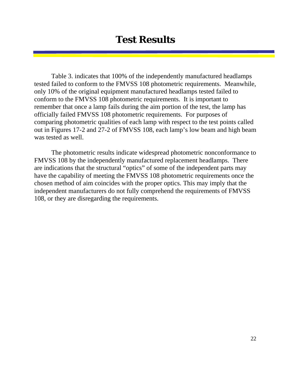Table 3. indicates that 100% of the independently manufactured headlamps tested failed to conform to the FMVSS 108 photometric requirements. Meanwhile, only 10% of the original equipment manufactured headlamps tested failed to conform to the FMVSS 108 photometric requirements. It is important to remember that once a lamp fails during the aim portion of the test, the lamp has officially failed FMVSS 108 photometric requirements. For purposes of comparing photometric qualities of each lamp with respect to the test points called out in Figures 17-2 and 27-2 of FMVSS 108, each lamp's low beam and high beam was tested as well.

The photometric results indicate widespread photometric nonconformance to FMVSS 108 by the independently manufactured replacement headlamps. There are indications that the structural "optics" of some of the independent parts may have the capability of meeting the FMVSS 108 photometric requirements once the chosen method of aim coincides with the proper optics. This may imply that the independent manufacturers do not fully comprehend the requirements of FMVSS 108, or they are disregarding the requirements.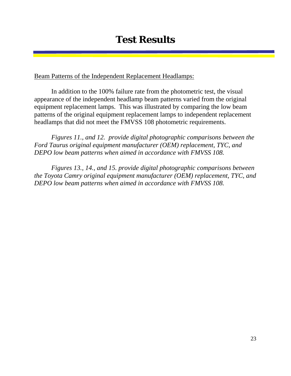Beam Patterns of the Independent Replacement Headlamps:

In addition to the 100% failure rate from the photometric test, the visual appearance of the independent headlamp beam patterns varied from the original equipment replacement lamps. This was illustrated by comparing the low beam patterns of the original equipment replacement lamps to independent replacement headlamps that did not meet the FMVSS 108 photometric requirements.

*Figures 11., and 12. provide digital photographic comparisons between the Ford Taurus original equipment manufacturer (OEM) replacement, TYC, and DEPO low beam patterns when aimed in accordance with FMVSS 108.* 

*Figures 13., 14., and 15. provide digital photographic comparisons between the Toyota Camry original equipment manufacturer (OEM) replacement, TYC, and DEPO low beam patterns when aimed in accordance with FMVSS 108.*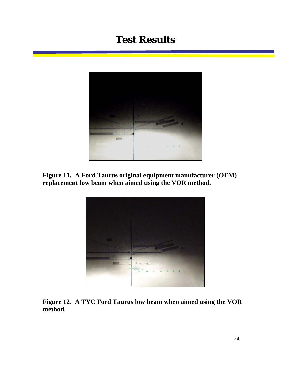

**Figure 11. A Ford Taurus original equipment manufacturer (OEM) replacement low beam when aimed using the VOR method.** 



**Figure 12. A TYC Ford Taurus low beam when aimed using the VOR method.**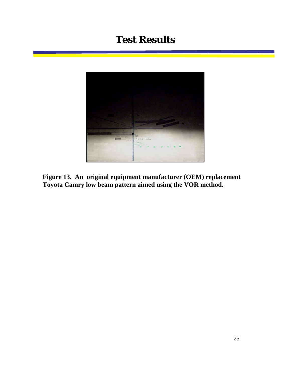

**Figure 13. An original equipment manufacturer (OEM) replacement Toyota Camry low beam pattern aimed using the VOR method.**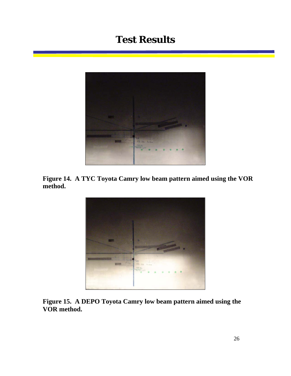

**Figure 14. A TYC Toyota Camry low beam pattern aimed using the VOR method.** 



**Figure 15. A DEPO Toyota Camry low beam pattern aimed using the VOR method.**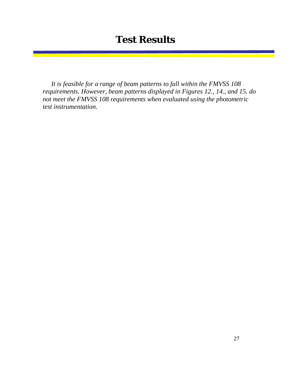*It is feasible for a range of beam patterns to fall within the FMVSS 108 requirements. However, beam patterns displayed in Figures 12., 14., and 15. do not meet the FMVSS 108 requirements when evaluated using the photometric test instrumentation.*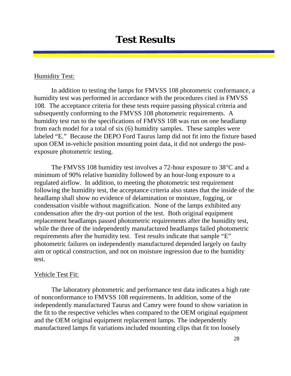#### Humidity Test:

In addition to testing the lamps for FMVSS 108 photometric conformance, a humidity test was performed in accordance with the procedures cited in FMVSS 108. The acceptance criteria for these tests require passing physical criteria and subsequently conforming to the FMVSS 108 photometric requirements. A humidity test run to the specifications of FMVSS 108 was run on one headlamp from each model for a total of six (6) humidity samples. These samples were labeled "E." Because the DEPO Ford Taurus lamp did not fit into the fixture based upon OEM in-vehicle position mounting point data, it did not undergo the postexposure photometric testing.

The FMVSS 108 humidity test involves a 72-hour exposure to 38°C and a minimum of 90% relative humidity followed by an hour-long exposure to a regulated airflow. In addition, to meeting the photometric test requirement following the humidity test, the acceptance criteria also states that the inside of the headlamp shall show no evidence of delamination or moisture, fogging, or condensation visible without magnification. None of the lamps exhibited any condensation after the dry-out portion of the test. Both original equipment replacement headlamps passed photometric requirements after the humidity test, while the three of the independently manufactured headlamps failed photometric requirements after the humidity test. Test results indicate that sample "E" photometric failures on independently manufactured depended largely on faulty aim or optical construction, and not on moisture ingression due to the humidity test.

#### Vehicle Test Fit:

 The laboratory photometric and performance test data indicates a high rate of nonconformance to FMVSS 108 requirements. In addition, some of the independently manufactured Taurus and Camry were found to show variation in the fit to the respective vehicles when compared to the OEM original equipment and the OEM original equipment replacement lamps. The independently manufactured lamps fit variations included mounting clips that fit too loosely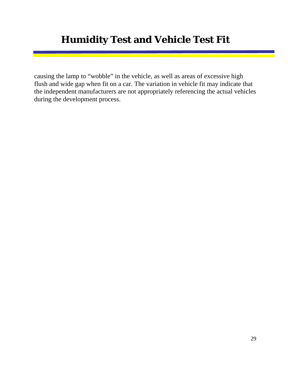## **Humidity Test and Vehicle Test Fit**

causing the lamp to "wobble" in the vehicle, as well as areas of excessive high flush and wide gap when fit on a car. The variation in vehicle fit may indicate that the independent manufacturers are not appropriately referencing the actual vehicles during the development process.